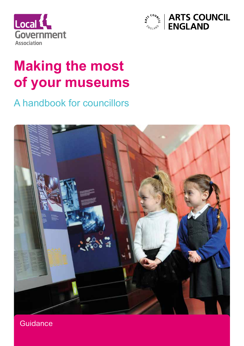



## **Making the most of your museums**

A handbook for councillors



**Guidance**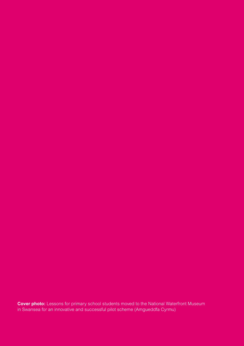**Cover photo:** Lessons for primary school students moved to the National Waterfront Museum in Swansea for an innovative and successful pilot scheme (Amgueddfa Cyrmu)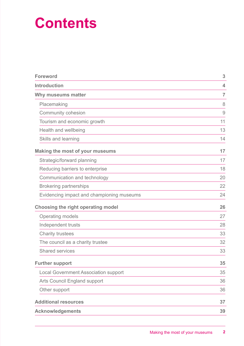## **Contents**

| <b>Foreword</b>                             | 3              |
|---------------------------------------------|----------------|
| <b>Introduction</b>                         | 4              |
| Why museums matter                          | $\overline{7}$ |
| Placemaking                                 | 8              |
| Community cohesion                          | 9              |
| Tourism and economic growth                 | 11             |
| Health and wellbeing                        | 13             |
| Skills and learning                         | 14             |
| <b>Making the most of your museums</b>      | 17             |
| Strategic/forward planning                  | 17             |
| Reducing barriers to enterprise             | 18             |
| Communication and technology                | 20             |
| <b>Brokering partnerships</b>               | 22             |
| Evidencing impact and championing museums   | 24             |
| <b>Choosing the right operating model</b>   | 26             |
| <b>Operating models</b>                     | 27             |
| Independent trusts                          | 28             |
| <b>Charity trustees</b>                     | 33             |
| The council as a charity trustee            | 32             |
| <b>Shared services</b>                      | 33             |
| <b>Further support</b>                      | 35             |
| <b>Local Government Association support</b> | 35             |
| <b>Arts Council England support</b>         | 36             |
| Other support                               | 36             |
| <b>Additional resources</b>                 | 37             |
| <b>Acknowledgements</b>                     | 39             |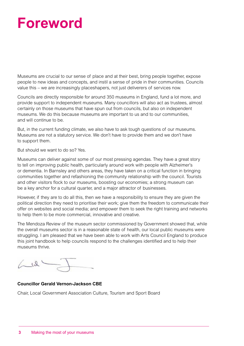## **Foreword**

Museums are crucial to our sense of place and at their best, bring people together, expose people to new ideas and concepts, and instil a sense of pride in their communities. Councils value this – we are increasingly placeshapers, not just deliverers of services now.

Councils are directly responsible for around 350 museums in England, fund a lot more, and provide support to independent museums. Many councillors will also act as trustees, almost certainly on those museums that have spun out from councils, but also on independent museums. We do this because museums are important to us and to our communities, and will continue to be.

But, in the current funding climate, we also have to ask tough questions of our museums. Museums are not a statutory service. We don't have to provide them and we don't have to support them.

But should we want to do so? Yes.

Museums can deliver against some of our most pressing agendas. They have a great story to tell on improving public health, particularly around work with people with Alzheimer's or dementia. In Barnsley and others areas, they have taken on a critical function in bringing communities together and refashioning the community relationship with the council. Tourists and other visitors flock to our museums, boosting our economies; a strong museum can be a key anchor for a cultural quarter, and a major attractor of businesses.

However, if they are to do all this, then we have a responsibility to ensure they are given the political direction they need to prioritise their work; give them the freedom to communicate their offer on websites and social media; and empower them to seek the right training and networks to help them to be more commercial, innovative and creative.

The Mendoza Review of the museum sector commissioned by Government showed that, while the overall museums sector is in a reasonable state of health, our local public museums were struggling. I am pleased that we have been able to work with Arts Council England to produce this joint handbook to help councils respond to the challenges identified and to help their museums thrive.

 $41$ 

#### **Councillor Gerald Vernon-Jackson CBE**

Chair, Local Government Association Culture, Tourism and Sport Board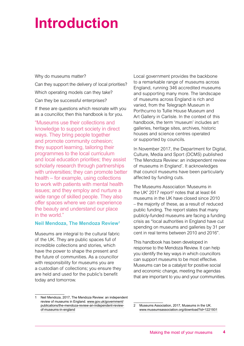## **Introduction**

Why do museums matter?

Can they support the delivery of local priorities?

Which operating models can they take?

Can they be successful enterprises?

If these are questions which resonate with you as a councillor, then this handbook is for you.

"Museums use their collections and knowledge to support society in direct ways. They bring people together and promote community cohesion; they support learning, tailoring their programmes to the local curriculum and local education priorities; they assist scholarly research through partnerships with universities; they can promote better health – for example, using collections to work with patients with mental health issues; and they employ and nurture a wide range of skilled people. They also offer spaces where we can experience the beauty and understand our place in the world."

#### **Neil Mendoza, The Mendoza Review1**

Museums are integral to the cultural fabric of the UK. They are public spaces full of incredible collections and stories, which have the power to shape the present and the future of communities. As a councillor with responsibility for museums you are a custodian of collections; you ensure they are held and used for the public's benefit today and tomorrow.

Local government provides the backbone to a remarkable range of museums across England, running 346 accredited museums and supporting many more. The landscape of museums across England is rich and varied, from the Telegraph Museum in Porthcurno to Tullie House Museum and Art Gallery in Carlisle. In the context of this handbook, the term 'museum' includes art galleries, heritage sites, archives, historic houses and science centres operated or supported by councils.

In November 2017, the Department for Digital, Culture, Media and Sport (DCMS) published 'The Mendoza Review: an independent review of museums in England'. It acknowledges that council museums have been particularly affected by funding cuts.

The Museums Association 'Museums in the UK' 2017 report<sup>2</sup> notes that at least  $64$ museums in the UK have closed since 2010 – the majority of these, as a result of reduced public funding. The report states that many publicly-funded museums are facing a funding crisis as "local authorities in England have cut spending on museums and galleries by 31 per cent in real terms between 2010 and 2016".

This handbook has been developed in response to the Mendoza Review. It can help you identify the key ways in which councillors can support museums to be most effective. Museums can be a catalyst for positive social and economic change, meeting the agendas that are important to you and your communities.

Neil Mendoza, 2017, The Mendoza Review: an independent review of museums in England. [www.gov.uk/government/](http://www.gov.uk/government/publications/the-mendoza-review-an-independent-review-of-museums-in-england) [publications/the-mendoza-review-an-independent-review](http://www.gov.uk/government/publications/the-mendoza-review-an-independent-review-of-museums-in-england)[of-museums-in-england](http://www.gov.uk/government/publications/the-mendoza-review-an-independent-review-of-museums-in-england)

<sup>2</sup> Museums Association, 2017, Museums in the UK. www.museumsassociation.org/download?id=1221931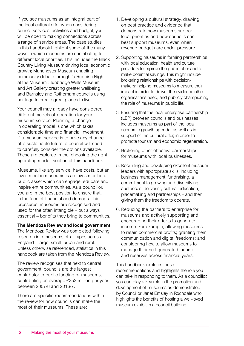If you see museums as an integral part of the local cultural offer when considering council services, activities and budget, you will be open to making connections across a range of service areas. The case studies in this handbook highlight some of the many ways in which museums are contributing to different local priorities. This includes the Black Country Living Museum driving local economic growth; Manchester Museum enabling community debate through 'a Rubbish Night at the Museum'; Tunbridge Wells Museum and Art Gallery creating greater wellbeing; and Barnsley and Rotherham councils using heritage to create great places to live.

Your council may already have considered different models of operation for your museum service. Planning a change in operating model is one which takes considerable time and financial investment. If a museum service is to have any chance of a sustainable future, a council will need to carefully consider the options available. These are explored in the 'choosing the right operating model, section of this handbook.

Museums, like any service, have costs, but an investment in museums is an investment in a public asset which can engage, educate and inspire entire communities. As a councillor, you are in the best position to ensure that, in the face of financial and demographic pressures, museums are recognised and used for the often intangible – but always essential – benefits they bring to communities.

#### **The Mendoza Review and local government**

The Mendoza Review was completed following research into museums of all types across England – large, small, urban and rural. Unless otherwise referenced, statistics in this handbook are taken from the Mendoza Review.

The review recognises that next to central government, councils are the largest contributor to public funding of museums, contributing on average £253 million per year between 2007/8 and 2016/7.

There are specific recommendations within the review for how councils can make the most of their museums. These are:

- 1. Developing a cultural strategy, drawing on best practice and evidence that demonstrate how museums support local priorities and how councils can best support museums, even when revenue budgets are under pressure.
- 2. Supporting museums in forming partnerships with local education, health and culture providers to improve the public offer and to make potential savings. This might include brokering relationships with decisionmakers; helping museums to measure their impact in order to deliver the evidence other organisations need, and publicly championing the role of museums in public life.
- 3. Ensuring that the local enterprise partnership (LEP) between councils and businesses includes museums as part of the local economic growth agenda, as well as in support of the cultural offer, in order to promote tourism and economic regeneration.
- 4. Brokering other effective partnerships for museums with local businesses.
- 5. Recruiting and developing excellent museum leaders with appropriate skills, including business management, fundraising, a commitment to growing and diversifying audiences, delivering cultural education, placemaking and partnerships – and then giving them the freedom to operate.
- 6. Reducing the barriers to enterprise for museums and actively supporting and encouraging their efforts to generate income. For example, allowing museums to retain commercial profits; granting them communication and digital freedoms; and considering how to allow museums to manage their self-generated income and reserves across financial years.

This handbook explores these recommendations and highlights the role you can take in responding to them. As a councillor, you can play a key role in the promotion and development of museums as demonstrated by Councillor Janet Emsley in Rochdale who highlights the benefits of hosting a well-loved museum exhibit in a council building.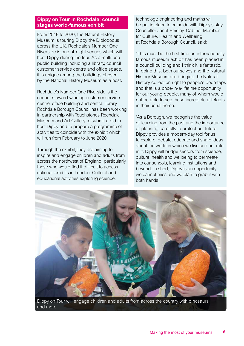#### **Dippy on Tour in Rochdale: council stages world-famous exhibit**

From 2018 to 2020, the Natural History Museum is touring Dippy the Diplodocus across the UK. Rochdale's Number One Riverside is one of eight venues which will host Dippy during the tour. As a multi-use public building including a library, council customer service centre and office space, it is unique among the buildings chosen by the National History Museum as a host.

Rochdale's Number One Riverside is the council's award-winning customer service centre, office building and central library. Rochdale Borough Council has been working in partnership with Touchstones Rochdale Museum and Art Gallery to submit a bid to host Dippy and to prepare a programme of activities to coincide with the exhibit which will run from February to June 2020.

Through the exhibit, they are aiming to inspire and engage children and adults from across the northwest of England, particularly those who would find it difficult to access national exhibits in London. Cultural and educational activities exploring science,

technology, engineering and maths will be put in place to coincide with Dippy's stay. Councillor Janet Emsley, Cabinet Member for Culture, Health and Wellbeing at Rochdale Borough Council, said:

"This must be the first time an internationally famous museum exhibit has been placed in a council building and I think it is fantastic. In doing this, both ourselves and the Natural History Museum are bringing the Natural History collection right to people's doorsteps and that is a once-in-a-lifetime opportunity for our young people, many of whom would not be able to see these incredible artefacts in their usual home.

"As a Borough, we recognise the value of learning from the past and the importance of planning carefully to protect our future. Dippy provides a modern-day tool for us to explore, debate, educate and share ideas about the world in which we live and our role in it. Dippy will bridge sectors from science, culture, health and wellbeing to permeate into our schools, learning institutions and beyond. In short, Dippy is an opportunity we cannot miss and we plan to grab it with both hands!"



Dippy on Tour will engage children and adults from across the country with dinosaurs and more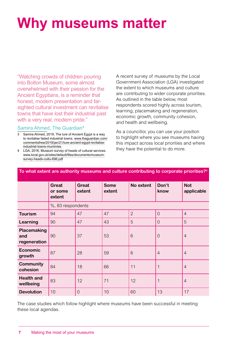# **Why museums matter**

"Watching crowds of children pouring into Bolton Museum, some almost overwhelmed with their passion for the Ancient Egyptians, is a reminder that honest, modern presentation and farsighted cultural investment can revitalise towns that have lost their industrial past with a very real, modern pride."

#### Samira Ahmed, The Guardian**<sup>3</sup>**<sup>4</sup>

- 3 Samira Ahmed, 2019, The lure of Ancient Egypt is a way to revitalise faded industrial towns. [www.theguardian.com/](https://www.theguardian.com/commentisfree/2019/jan/21/lure-ancient-egypt-revitalise-industrial-towns-mummies) [commentisfree/2019/jan/21/lure-ancient-egypt-revitalise](https://www.theguardian.com/commentisfree/2019/jan/21/lure-ancient-egypt-revitalise-industrial-towns-mummies)[industrial-towns-mummies](https://www.theguardian.com/commentisfree/2019/jan/21/lure-ancient-egypt-revitalise-industrial-towns-mummies)
- 4 LGA, 2016, Museum survey of heads of cultural services. www.local.gov.uk/sites/default/files/documents/museumsurvey-heads-cultu-696.pdf

A recent survey of museums by the Local Government Association (LGA) investigated the extent to which museums and culture are contributing to wider corporate priorities. As outlined in the table below, most respondents scored highly across tourism, learning, placemaking and regeneration, economic growth, community cohesion, and health and wellbeing.

As a councillor, you can use your position to highlight where you see museums having this impact across local priorities and where they have the potential to do more.

| To what extent are authority museums and culture contributing to corporate priorities? <sup>4</sup> |                                   |                        |                       |                |                |                          |
|-----------------------------------------------------------------------------------------------------|-----------------------------------|------------------------|-----------------------|----------------|----------------|--------------------------|
|                                                                                                     | <b>Great</b><br>or some<br>extent | <b>Great</b><br>extent | <b>Some</b><br>extent | No extent      | Don't<br>know  | <b>Not</b><br>applicable |
|                                                                                                     | %, 83 respondents                 |                        |                       |                |                |                          |
| <b>Tourism</b>                                                                                      | 94                                | 47                     | 47                    | $\overline{2}$ | $\overline{0}$ | $\overline{4}$           |
| Learning                                                                                            | 90                                | 47                     | 43                    | 5              | $\overline{0}$ | 5                        |
| Placemaking<br>and<br>regeneration                                                                  | 90                                | 37                     | 53                    | 6              | $\Omega$       | $\overline{4}$           |
| <b>Economic</b><br>growth                                                                           | 87                                | 28                     | 59                    | 6              | $\overline{4}$ | $\overline{4}$           |
| <b>Community</b><br>cohesion                                                                        | 84                                | 18                     | 66                    | 11             |                | $\overline{4}$           |
| <b>Health and</b><br>wellbeing                                                                      | 83                                | 12                     | 71                    | 12             |                | $\overline{4}$           |
| <b>Devolution</b>                                                                                   | 10                                | $\overline{0}$         | 10                    | 60             | 13             | 17                       |

The case studies which follow highlight where museums have been successful in meeting these local agendas.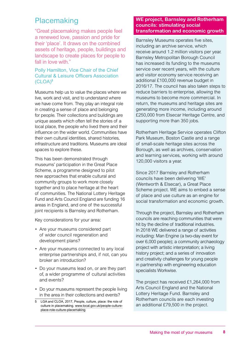## Placemaking

"Great placemaking makes people feel a renewed love, passion and pride for their 'place'. It draws on the combined assets of heritage, people, buildings and landscape to create places for people to fall in love with."

#### Polly Hamilton, Vice Chair of the Chief Cultural & Leisure Officers Association (CLOA)**<sup>5</sup>**

Museums help us to value the places where we live, work and visit, and to understand where we have come from. They play an integral role in creating a sense of place and belonging for people. Their collections and buildings are unique assets which often tell the stories of a local place, the people who lived there and their influence on the wider world. Communities have their own cultural identities, shared histories, infrastructure and traditions. Museums are ideal spaces to explore these.

This has been demonstrated through museums' participation in the Great Place Scheme, a programme designed to pilot new approaches that enable cultural and community groups to work more closely together and to place heritage at the heart of communities. The National Lottery Heritage Fund and Arts Council England are funding 16 areas in England, and one of the successful joint recipients is Barnsley and Rotherham.

Key considerations for your area:

- Are your museums considered part of wider council regeneration and development plans?
- Are your museums connected to any local enterprise partnerships and, if not, can you broker an introduction?
- Do your museums lead on, or are they part of, a wider programme of cultural activities and events?
- Do your museums represent the people living in the area in their collections and events?
- 5 LGA and CLOA, 2017, People, culture, place: the role of culture in placemaking. www.local.gov.uk/people-cultureplace-role-culture-placemaking

#### **WE project, Barnsley and Rotherham councils: stimulating social transformation and economic growth**

Barnsley Museums operates five sites, including an archive service, which receive around 1.2 million visitors per year. Barnsley Metropolitan Borough Council has increased its funding to the museums service over recent years, with the culture and visitor economy service receiving an additional £100,000 revenue budget in 2016/17. The council has also taken steps to reduce barriers to enterprise, allowing the museums to become more commercial. In return, the museums and heritage sites are generating more income, including around £250,000 from Elsecar Heritage Centre, and supporting more than 350 jobs.

Rotherham Heritage Service operates Clifton Park Museum, Boston Castle and a range of small-scale heritage sites across the Borough, as well as archives, conservation and learning services, working with around 120,000 visitors a year.

Since 2017 Barnsley and Rotherham councils have been delivering 'WE' (Wentworth & Elsecar), a Great Place Scheme project. WE aims to embed a sense of place and use culture as an engine for social transformation and economic growth.

Through the project, Barnsley and Rotherham councils are reaching communities that were hit by the decline of traditional industries. In 2018 WE delivered a range of activities including: Man Engine (a two-day event for over 6,000 people); a community archaeology project with artistic interpretation; a living history project; and a series of innovation and creativity challenges for young people in partnership with engineering education specialists Workwise.

The project has received £1,264,000 from Arts Council England and the National Lottery Heritage Fund. Barnsley and Rotherham councils are each investing an additional £79,500 in the project.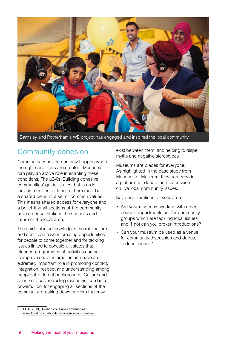

Barnsley and Rotherham's WE project has engaged and inspired the local community

## Community cohesion

Community cohesion can only happen when the right conditions are created. Museums can play an active role in enabling these conditions. The LGA's 'Building cohesive communities' guide<sup>6</sup> states that in order for communities to flourish, there must be a shared belief in a set of common values. This means shared access for everyone and a belief that all sections of the community have an equal stake in the success and future of the local area.

The guide also acknowledges the role culture and sport can have in creating opportunities for people to come together and for tackling issues linked to cohesion. It states that planned programmes of activities can help to improve social interaction and have an extremely important role in promoting contact, integration, respect and understanding among people of different backgrounds. Culture and sport services, including museums, can be a powerful tool for engaging all sections of the community, breaking down barriers that may

exist between them, and helping to dispel myths and negative stereotypes.

Museums are places for everyone. As highlighted in the case study from Manchester Museum, they can provide a platform for debate and discussion on live local community issues.

Key considerations for your area:

- Are your museums working with other council departments and/or community groups which are tackling local issues, and if not can you broker introductions?
- Can your museum be used as a venue for community discussion and debate on local issues?

<sup>6</sup> LGA, 2019, Building cohesive communities. www.local.gov.uk/building-cohesive-communities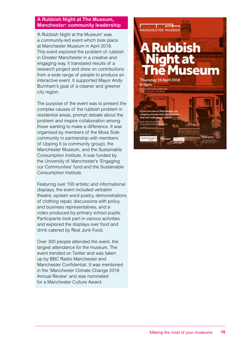#### **A Rubbish Night at The Museum, Manchester: community leadership**

'A Rubbish Night at the Museum' was a community-led event which took place at Manchester Museum in April 2018. This event explored the problem of rubbish in Greater Manchester in a creative and engaging way. It translated results of a research project and drew on contributions from a wide range of people to produce an interactive event. It supported Mayor Andy Burnham's goal of a cleaner and greener city region.

The purpose of the event was to present the complex causes of the rubbish problem in residential areas, prompt debate about the problem and inspire collaboration among those wanting to make a difference. It was organised by members of the Moss Side community in partnership with members of Upping It (a community group), the Manchester Museum, and the Sustainable Consumption Institute. It was funded by the University of Manchester's 'Engaging our Communities' fund and the Sustainable Consumption Institute.

Featuring over 100 artistic and informational displays, the event included verbatim theatre, spoken word poetry, demonstrations of clothing repair, discussions with policy and business representatives, and a video produced by primary school pupils. Participants took part in various activities and explored the displays over food and drink catered by Real Junk Food.

Over 300 people attended the event, the largest attendance for the museum. The event trended on Twitter and was taken up by BBC Radio Manchester and Manchester Confidential. It was mentioned in the 'Manchester Climate Change 2018 Annual Review' and was nominated for a Manchester Culture Award.

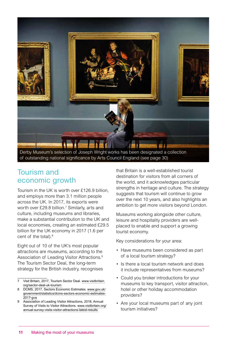

### Tourism and economic growth

Tourism in the UK is worth over £126.9 billion, and employs more than 3.1 million people across the UK. In 2017, its exports were worth over £29.8 billion.<sup>7</sup> Similarly, arts and culture, including museums and libraries, make a substantial contribution to the UK and local economies, creating an estimated £29.5 billion for the UK economy in 2017 (1.6 per cent of the total).<sup>8</sup>

Eight out of 10 of the UK's most popular attractions are museums, according to the Association of Leading Visitor Attractions.9 The Tourism Sector Deal, the long-term strategy for the British industry, recognises that Britain is a well-established tourist destination for visitors from all corners of the world, and it acknowledges particular strengths in heritage and culture. The strategy suggests that tourism will continue to grow over the next 10 years, and also highlights an ambition to get more visitors beyond London.

Museums working alongside other culture, leisure and hospitality providers are wellplaced to enable and support a growing tourist economy.

Key considerations for your area:

- Have museums been considered as part of a local tourism strategy?
- Is there a local tourism network and does it include representatives from museums?
- Could you broker introductions for your museums to key transport, visitor attraction, hotel or other holiday accommodation providers?
- Are your local museums part of any joint tourism initiatives?

<sup>7</sup> Visit Britain, 2017, Tourism Sector Deal. [www.visitbritain.](https://www.visitbritain.org/sector-deal-uk-tourism) [org/sector-deal-uk-tourism](https://www.visitbritain.org/sector-deal-uk-tourism)

<sup>8</sup> DCMS, 2017, Sectors Economic Estimates. [www.gov.uk/](https://www.gov.uk/government/statistics/dcms-sectors-economic-estimates-2017-gva) [government/statistics/dcms-sectors-economic-estimates-](https://www.gov.uk/government/statistics/dcms-sectors-economic-estimates-2017-gva)[2017-gva](https://www.gov.uk/government/statistics/dcms-sectors-economic-estimates-2017-gva)

<sup>9</sup> Association of Leading Visitor Attractions, 2018, Annual Survey of Visits to Visitor Attractions. [www.visitbritain.org/](https://www.visitbritain.org/annual-survey-visits-visitor-attractions-latest-results) [annual-survey-visits-visitor-attractions-latest-results](https://www.visitbritain.org/annual-survey-visits-visitor-attractions-latest-results)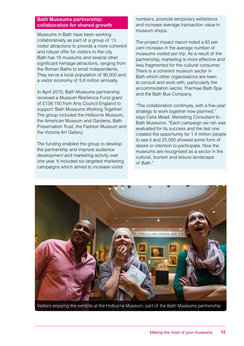#### **Bath Museums partnership: collaboration for shared growth**

Museums in Bath have been working collaboratively as part of a group of 13 visitor attractions to provide a more coherent and robust offer for visitors to the city. Bath has 16 museums and several other significant heritage attractions, ranging from the Roman Baths to small independents. They serve a local population of 90,000 and a visitor economy of 5.8 million annually.

In April 2015, Bath Museums partnership received a Museum Resilience Fund grant of £138,150 from Arts Council England to support 'Bath Museums Working Together'. The group included the Holburne Museum, the American Museum and Gardens, Bath Preservation Trust, the Fashion Museum and the Victoria Art Gallery.

The funding enabled the group to develop the partnership and improve audience development and marketing activity over one year. It included six targeted marketing campaigns which aimed to increase visitor

numbers, promote temporary exhibitions and increase average transaction value in museum shops.

The project impact report noted a 63 per cent increase in the average number of museums visited per trip. As a result of the partnership, marketing is more effective and less fragmented for the cultural consumer. There is a coherent museum sector in Bath which other organisations are keen to consult and work with, particularly the accommodation sector, Thermae Bath Spa and the Bath Bus Company.

"The collaboration continues, with a five-year strategy to work together now planned," says Celia Mead, Marketing Consultant to Bath Museums. "Each campaign we ran was evaluated for its success and the last one created the opportunity for 1.4 million people to see it and 25,000 showed some form of desire or intention to participate. Now the museums are recognised as a sector in the cultural, tourism and leisure landscape of Bath."



Visitors enjoying the exhibits at the Holburne Museum, part of the Bath Museums partnership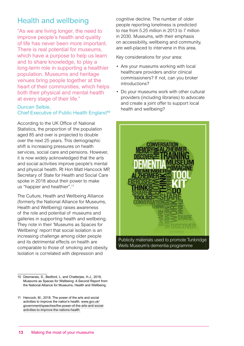## Health and wellbeing

"As we are living longer, the need to improve people's health and quality of life has never been more important. There is real potential for museums, which have a purpose to help us learn and to share knowledge, to play a long-term role in supporting a healthier population. Museums and heritage venues bring people together at the heart of their communities, which helps both their physical and mental health at every stage of their life."

#### Duncan Selbie,

#### Chief Executive of Public Health England**<sup>10</sup>**

According to the UK Office of National Statistics, the proportion of the population aged 85 and over is projected to double over the next 25 years. This demographic shift is increasing pressures on health services, social care and pensions. However, it is now widely acknowledged that the arts and social activities improve people's mental and physical health. Rt Hon Matt Hancock MP, Secretary of State for Health and Social Care spoke in 2018 about their power to make us "happier and healthier".11

The Culture, Health and Wellbeing Alliance (formerly the National Alliance for Museums, Health and Wellbeing) raises awareness of the role and potential of museums and galleries in supporting health and wellbeing. They note in their 'Museums as Spaces for Wellbeing' report that social isolation is an increasing challenge among older people and its detrimental effects on health are comparable to those of smoking and obesity. Isolation is correlated with depression and

cognitive decline. The number of older people reporting loneliness is predicted to rise from 5.25 million in 2013 to 7 million in 2030. Museums, with their emphasis on accessibility, wellbeing and community, are well-placed to intervene in this area.

Key considerations for your area:

- Are your museums working with local healthcare providers and/or clinical commissioners? If not, can you broker introductions?
- Do your museums work with other cultural providers (including libraries) to advocate and create a joint offer to support local health and wellbeing?



Publicity materials used to promote Tunbridge Wells Museum's dementia programme

<sup>10</sup> Desmarais, S., Bedford, L. and Chatterjee, H.J., 2018, Museums as Spaces for Wellbeing: A Second Report from the National Alliance for Museums, Health and Wellbeing.

<sup>11</sup> Hancock, M., 2018, The power of the arts and social activities to improve the nation's health. [www.gov.uk/](https://www.gov.uk/government/speeches/the-power-of-the-arts-and-social-activities-to-improve-the-nations-health) [government/speeches/the-power-of-the-arts-and-social](https://www.gov.uk/government/speeches/the-power-of-the-arts-and-social-activities-to-improve-the-nations-health)[activities-to-improve-the-nations-health](https://www.gov.uk/government/speeches/the-power-of-the-arts-and-social-activities-to-improve-the-nations-health)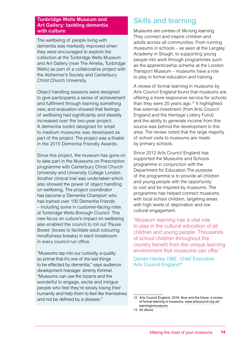#### **Tunbridge Wells Museum and Art Gallery: tackling dementia with culture**

The wellbeing of people living with dementia was markedly improved when they were encouraged to explore the collection at the Tunbridge Wells Museum and Art Gallery (now The Amelia, Tunbridge Wells) as part of a collaborative project with the Alzheimer's Society and Canterbury Christ Church University.

Object handling sessions were designed to give participants a sense of achievement and fulfilment through learning something new, and evaluation showed that feelings of wellbeing had significantly and steadily increased over the two-year project. A dementia toolkit designed for small to medium museums was developed as part of the project. The project was a finalist in the 2015 Dementia Friendly Awards.

Since this project, the museum has gone on to take part in the Museums on Prescription programme with Canterbury Christ Church University and University College London. Another clinical trial was undertaken which also showed the power of object handling on wellbeing. The project coordinator has become a 'Dementia Champion' who has trained over 100 Dementia Friends – including some in customer-facing roles at Tunbridge Wells Borough Council. This new focus on culture's impact on wellbeing also enabled the council to roll out 'Pause Boxes' (boxes to facilitate adult colouring mindfulness breaks) in each breakroom in every council-run office.

"Museums tap into our curiosity, a quality so primal that it's one of the last things to be effected by dementia," says audience development manager Jeremy Kimmel. "Museums can use the bizarre and the wonderful to engage, excite and intrigue people who feel they're slowly losing their humanity and help them to feel like themselves and not be defined by a disease."

## Skills and learning

Museums are centres of life-long learning. They connect and inspire children and adults across all communities. From running museums in schools – as seen at the Langley Academy in Slough, to supporting young people into work through programmes such as the apprenticeship scheme at the London Transport Museum – museums have a role to play in formal education and training.

A review of formal learning in museums by Arts Council England found that museums are offering a more responsive service for schools than they were 20 years ago.<sup>12</sup> It highlighted that external investment (from Arts Council England and the Heritage Lottery Fund) and the ability to generate income from this source was behind the development in this area. The review noted that the large majority of school visits to museums are made by primary schools.

Since 2012 Arts Council England has supported the Museums and Schools programme in conjunction with the Department for Education.The purpose of the programme is to provide all children and young people with the opportunity to visit and be inspired by museums. The programme has helped connect museums with local school children, targeting areas with high levels of deprivation and low cultural engagement.

"Museum learning has a vital role to play in the cultural education of all children and young people. Thousands of school children throughout the country benefit from the unique learning environment that museums can offer."

Darren Henley OBE, Chief Executive, Arts Council England**<sup>13</sup>**

<sup>12</sup> Arts Council England, 2016, Now and the future: a review of formal learning in museums. www.artscouncil.org.uk/ learninginmuseums

<sup>13</sup> As above.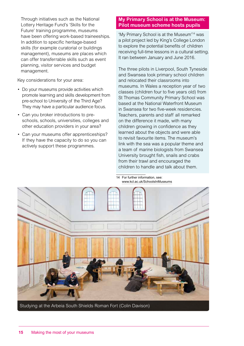Through initiatives such as the National Lottery Heritage Fund's 'Skills for the Future' training programme, museums have been offering work-based traineeships. In addition to specific heritage-based skills (for example curatorial or buildings management), museums are places which can offer transferrable skills such as event planning, visitor services and budget management.

Key considerations for your area:

- Do your museums provide activities which promote learning and skills development from pre-school to University of the Third Age? They may have a particular audience focus.
- Can you broker introductions to preschools, schools, universities, colleges and other education providers in your area?
- Can your museums offer apprenticeships? If they have the capacity to do so you can actively support these programmes.

#### **My Primary School is at the Museum: Pilot museum scheme hosts pupils**

'My Primary School is at the Museum'14 was a pilot project led by King's College London to explore the potential benefits of children receiving full-time lessons in a cultural setting. It ran between January and June 2016.

The three pilots in Liverpool, South Tyneside and Swansea took primary school children and relocated their classrooms into museums. In Wales a reception year of two classes (children four to five years old) from St Thomas Community Primary School was based at the National Waterfront Museum in Swansea for two five-week residencies. Teachers, parents and staff all remarked on the difference it made, with many children growing in confidence as they learned about the objects and were able to revisit favourite items. The museum's link with the sea was a popular theme and a team of marine biologists from Swansea University brought fish, snails and crabs from their trawl and encouraged the children to handle and talk about them.

14 For further information, see: www.kcl.ac.uk/SchoolsInMuseums

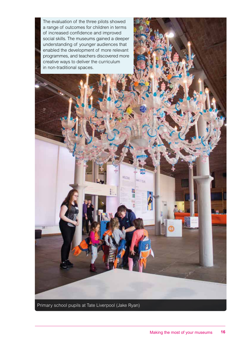The evaluation of the three pilots showed a range of outcomes for children in terms of increased confidence and improved social skills. The museums gained a deeper understanding of younger audiences that enabled the development of more relevant programmes, and teachers discovered more creative ways to deliver the curriculum in non-traditional spaces.

Primary school pupils at Tate Liverpool (Jake Ryan)

Westwijk

Water Page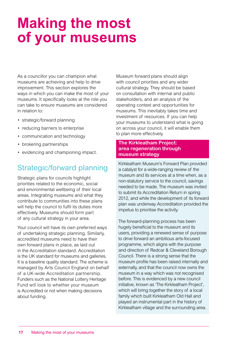## **Making the most of your museums**

As a councillor you can champion what museums are achieving and help to drive improvement. This section explores the ways in which you can make the most of your museums. It specifically looks at the role you can take to ensure museums are considered in relation to:

- strategic/forward planning
- reducing barriers to enterprise
- communication and technology
- brokering partnerships
- evidencing and championing impact.

## Strategic/forward planning

Strategic plans for councils highlight priorities related to the economic, social and environmental wellbeing of their local areas. Integrating museums and what they contribute to communities into these plans will help the council to fulfil its duties more effectively. Museums should form part of any cultural strategy in your area.

Your council will have its own preferred ways of undertaking strategic planning. Similarly, accredited museums need to have their own forward plans in place, as laid out in the Accreditation standard. Accreditation is the UK standard for museums and galleries. It is a baseline quality standard. The scheme is managed by Arts Council England on behalf of a UK-wide Accreditation partnership. Funders such as the National Lottery Heritage Fund will look to whether your museum is Accredited or not when making decisions about funding.

Museum forward plans should align with council priorities and any wider cultural strategy. They should be based on consultation with internal and public stakeholders, and an analysis of the operating context and opportunities for museums. This inevitably takes time and investment of resources. If you can help your museums to understand what is going on across your council, it will enable them to plan more effectively.

#### **The Kirkleatham Project: area regeneration through museum strategy**

Kirkleatham Museum's Forward Plan provided a catalyst for a wide-ranging review of the museum and its services at a time when, as a non-statutory service to the council, savings needed to be made. The museum was invited to submit its Accreditation Return in spring 2012, and while the development of its forward plan was underway Accreditation provided the impetus to prioritise the activity.

The forward-planning process has been hugely beneficial to the museum and its users, providing a renewed sense of purpose to drive forward an ambitious arts-focused programme, which aligns with the purpose and direction of Redcar & Cleveland Borough Council. There is a strong sense that the museum profile has been raised internally and externally, and that the council now owns the museum in a way which was not recognised before. This is evidenced by a new council initiative, known as 'The Kirkleatham Project', which will bring together the story of a local family which built Kirkleatham Old Hall and played an instrumental part in the history of Kirkleatham village and the surrounding area.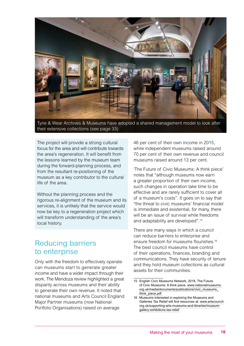

Tyne & Wear Archives & Museums have adopted a shared management model to look after their extensive collections (see page 33)

The project will provide a strong cultural focus for the area and will contribute towards the area's regeneration. It will benefit from the lessons learned by the museum team during the forward-planning process, and from the resultant re-positioning of the museum as a key contributor to the cultural life of the area.

Without the planning process and the rigorous re-alignment of the museum and its services, it is unlikely that the service would now be key to a regeneration project which will transform understanding of the area's local history.

### Reducing barriers to enterprise

Only with the freedom to effectively operate can museums start to generate greater income and have a wider impact through their work. The Mendoza review highlighted a great disparity across museums and their ability to generate their own revenue. It noted that national museums and Arts Council England Major Partner museums (now National Portfolio Organisations) raised on average

46 per cent of their own income in 2015, while independent museums raised around 70 per cent of their own revenue and council museums raised around 13 per cent.

'The Future of Civic Museums: A think piece' notes that "although museums now earn a greater proportion of their own income, such changes in operation take time to be effective and are rarely sufficient to cover all of a museum's costs". It goes on to say that "the threat to civic museums' financial model is immediate and existential, for many, there will be an issue of survival while freedoms and adaptability are developed".15

There are many ways in which a council can reduce barriers to enterprise and ensure freedom for museums flourishes.16 The best council museums have control of their operations, finances, branding and communications. They have security of tenure and they hold museum collections as cultural assets for their communities.

<sup>15</sup> English Civic Museums Network, 2018, The Future of Civic Museums: A think piece. [www.nationalmuseums.](https://www.nationalmuseums.org.uk/media/documents/publications/civic_museums_think_piece.pdf) [org.uk/media/documents/publications/civic\\_museums\\_](https://www.nationalmuseums.org.uk/media/documents/publications/civic_museums_think_piece.pdf) [think\\_piece.pdf](https://www.nationalmuseums.org.uk/media/documents/publications/civic_museums_think_piece.pdf)

<sup>16</sup> Museums interested in exploring the Museums and Galleries Tax Relief will find resources at: [www.artscouncil.](https://www.artscouncil.org.uk/supporting-arts-museums-and-libraries/museum-gallery-exhibitions-tax-relief) [org.uk/supporting-arts-museums-and-libraries/museum](https://www.artscouncil.org.uk/supporting-arts-museums-and-libraries/museum-gallery-exhibitions-tax-relief)[gallery-exhibitions-tax-relief](https://www.artscouncil.org.uk/supporting-arts-museums-and-libraries/museum-gallery-exhibitions-tax-relief)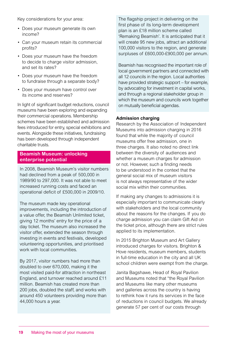Key considerations for your area:

- Does your museum generate its own income?
- Can your museum retain its commercial profits?
- Does your museum have the freedom to decide to charge visitor admission, and set its rates?
- Does your museum have the freedom to fundraise through a separate body?
- Does your museum have control over its income and reserves?

In light of significant budget reductions, council museums have been exploring and expanding their commercial operations. Membership schemes have been established and admission fees introduced for entry, special exhibitions and events. Alongside these initiatives, fundraising has been developed through independent charitable trusts.

#### **Beamish Museum: unlocking enterprise potential**

In 2008, Beamish Museum's visitor numbers had declined from a peak of 500,000 in 1989/90 to 297,000. It was not able to meet increased running costs and faced an operational deficit of £500,000 in 2009/10.

The museum made key operational improvements, including the introduction of a value offer, the Beamish Unlimited ticket, giving 12 months' entry for the price of a day ticket. The museum also increased the visitor offer, extended the season through investing in events and festivals, developed volunteering opportunities, and prioritised work with local communities.

By 2017, visitor numbers had more than doubled to over 670,000, making it the most visited paid-for attraction in northeast England, and turnover reached around £11 million. Beamish has created more than 200 jobs, doubled the staff, and works with around 450 volunteers providing more than 44,000 hours a year.

The flagship project in delivering on the first phase of its long-term development plan is an £18 million scheme called 'Remaking Beamish'. It is anticipated that it will create 95 new jobs, attract an additional 100,000 visitors to the region, and generate surpluses of £600,000-£900,000 per annum.

Beamish has recognised the important role of local government partners and connected with all 12 councils in the region. Local authorities have provided strategic support – for example, by advocating for investment in capital works, and through a regional stakeholder group in which the museum and councils work together on mutually beneficial agendas.

#### **Admission charging**

Research by the Association of Independent Museums into admission charging in 2016 found that while the majority of council museums offer free admission, one in three charges. It also noted no direct link between the diversity of audiences and whether a museum charges for admission or not. However, such a finding needs to be understood in the context that the general social mix of museum visitors is not always representative of the wider social mix within their communities.

If making any changes to admissions it is especially important to communicate clearly with stakeholders and the local community about the reasons for the changes. If you do charge admission you can claim Gift Aid on the ticket price, although there are strict rules applied to its implementation.

In 2015 Brighton Museum and Art Gallery introduced charges for visitors. Brighton & Hove residents, museum members, students in full-time education in the city and all UK school children were exempt from the charge.

Janita Bagshawe, Head of Royal Pavilion and Museums noted that "the Royal Pavilion and Museums like many other museums and galleries across the country is having to rethink how it runs its services in the face of reductions in council budgets. We already generate 57 per cent of our costs through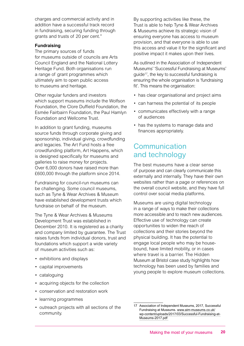charges and commercial activity and in addition have a successful track record in fundraising, securing funding through grants and trusts of 20 per cent."

#### **Fundraising**

The primary sources of funds for museums outside of councils are Arts Council England and the National Lottery Heritage Fund. Both organisations run a range of grant programmes which ultimately aim to open public access to museums and heritage.

Other regular funders and investors which support museums include the Wolfson Foundation, the Clore Duffield Foundation, the Esmée Fairbairn Foundation, the Paul Hamlyn Foundation and Wellcome Trust.

In addition to grant funding, museums source funds through corporate giving and sponsorship, individual giving, crowdfunding and legacies. The Art Fund hosts a free crowdfunding platform, Art Happens, which is designed specifically for museums and galleries to raise money for projects. Over 6,000 donors have raised more than £600,000 through the platform since 2014.

Fundraising for council-run museums can be challenging. Some council museums, such as Tyne & Wear Archives & Museum have established development trusts which fundraise on behalf of the museum.

The Tyne & Wear Archives & Museums Development Trust was established in December 2010. It is registered as a charity and company limited by guarantee. The Trust raises funds from individual donors, trust and foundations which support a wide variety of museum activities such as:

- exhibitions and displays
- capital improvements
- cataloguing
- acquiring objects for the collection
- conservation and restoration work
- learning programmes
- outreach projects with all sections of the community.

By supporting activities like these, the Trust is able to help Tyne & Wear Archives & Museums achieve its strategic vision of ensuring everyone has access to museum provision, and that everyone is able to use this access and value it for the significant and positive impact it makes upon their lives.

As outlined in the Association of Independent Museums' 'Successful Fundraising at Museums' guide17, the key to successful fundraising is ensuring the whole organisation is 'fundraising fit'. This means the organisation:

- has clear organisational and project aims
- can harness the potential of its people
- communicates effectively with a range of audiences
- has the systems to manage data and finances appropriately.

### Communication and technology

The best museums have a clear sense of purpose and can clearly communicate this externally and internally. They have their own websites rather than a page or references on the overall council website, and they have full control over social media platforms.

Museums are using digital technology in a range of ways to make their collections more accessible and to reach new audiences. Effective use of technology can create opportunities to widen the reach of collections and their stories beyond the physical building. It has the potential to engage local people who may be housebound, have limited mobility, or in cases where travel is a barrier. The Hidden Museum at Bristol case study highlights how technology has been used by families and young people to explore museum collections.

<sup>17</sup> Association of Independent Museums, 2017, Successful Fundraising at Museums. [www.aim-museums.co.uk/](https://www.aim-museums.co.uk/wp-content/uploads/2017/03/Successful-Fundraising-at-Museums-2017.pdf) [wp-content/uploads/2017/03/Successful-Fundraising-at-](https://www.aim-museums.co.uk/wp-content/uploads/2017/03/Successful-Fundraising-at-Museums-2017.pdf)[Museums-2017.pdf](https://www.aim-museums.co.uk/wp-content/uploads/2017/03/Successful-Fundraising-at-Museums-2017.pdf)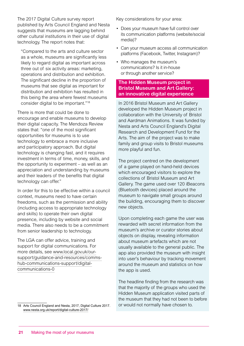The 2017 Digital Culture survey report published by Arts Council England and Nesta suggests that museums are lagging behind other cultural institutions in their use of digital technology. The report notes that:

"Compared to the arts and culture sector as a whole, museums are significantly less likely to regard digital as important across three out of six activity areas: marketing, operations and distribution and exhibition. The significant decline in the proportion of museums that see digital as important for distribution and exhibition has resulted in this being the area where fewest museums consider digital to be important."18

There is more that could be done to encourage and enable museums to develop their digital capacity. The Mendoza Review states that: "one of the most significant opportunities for museums is to use technology to embrace a more inclusive and participatory approach. But digital technology is changing fast, and it requires investment in terms of time, money, skills, and the opportunity to experiment – as well as an appreciation and understanding by museums and their leaders of the benefits that digital technology can offer."

In order for this to be effective within a council context, museums need to have certain freedoms, such as the permission and ability (including access to appropriate technology and skills) to operate their own digital presence, including by website and social media. There also needs to be a commitment from senior leadership to technology.

The LGA can offer advice, training and support for digital communications. For more details, see [www.local.gov.uk/our](https://www.local.gov.uk/our-support/guidance-and-resources/comms-hub-communications-support/digital-communications-0)[support/guidance-and-resources/comms](https://www.local.gov.uk/our-support/guidance-and-resources/comms-hub-communications-support/digital-communications-0)[hub-communications-support/digital](https://www.local.gov.uk/our-support/guidance-and-resources/comms-hub-communications-support/digital-communications-0)[communications-0](https://www.local.gov.uk/our-support/guidance-and-resources/comms-hub-communications-support/digital-communications-0)

Key considerations for your area:

- Does your museum have full control over its communication platforms (website/social media)?
- Can your museum access all communication platforms (Facebook, Twitter, Instagram)?
- Who manages the museum's communications? Is it in-house or through another service?

#### **The Hidden Museum project in Bristol Museum and Art Gallery: an innovative digital experience**

In 2016 Bristol Museum and Art Gallery developed the Hidden Museum project in collaboration with the University of Bristol and Aardman Animations. It was funded by Nesta and Arts Council England's Digital Research and Development Fund for the Arts. The aim of the project was to make family and group visits to Bristol museums more playful and fun.

The project centred on the development of a game played on hand-held devices which encouraged visitors to explore the collections of Bristol Museum and Art Gallery. The game used over 120 iBeacons (Bluetooth devices) placed around the museum to navigate small groups around the building, encouraging them to discover new objects.

Upon completing each game the user was rewarded with secret information from the museum's archive or curator stories about objects on display, revealing information about museum artefacts which are not usually available to the general public. The app also provided the museum with insight into user's behaviour by tracking movement around the museum and statistics on how the app is used.

The headline finding from the research was that the majority of the groups who used the Hidden Museum application visited parts of the museum that they had not been to before or would not normally have chosen to.

<sup>18</sup> Arts Council England and Nesta, 2017, Digital Culture 2017. www.nesta.org.uk/report/digital-culture-2017/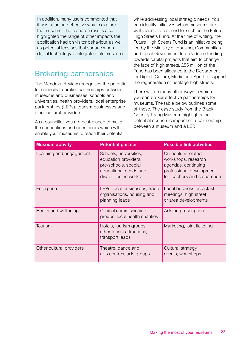In addition, many users commented that it was a fun and effective way to explore the museum. The research results also highlighted the range of other impacts the application had on visitor behaviour, as well as potential tensions that surface when digital technology is integrated into museums.

## Brokering partnerships

The Mendoza Review recognises the potential for councils to broker partnerships between museums and businesses, schools and universities, health providers, local enterprise partnerships (LEPs), tourism businesses and other cultural providers.

As a councillor, you are best-placed to make the connections and open doors which will enable your museums to reach their potential while addressing local strategic needs. You can identify initiatives which museums are well-placed to respond to, such as the Future High Streets Fund. At the time of writing, the Future High Streets Fund is an initiative being led by the Ministry of Housing, Communities and Local Government to provide co-funding towards capital projects that aim to change the face of high streets. £55 million of the Fund has been allocated to the Department for Digital, Culture, Media and Sport to support the regeneration of heritage high streets.

There will be many other ways in which you can broker effective partnerships for museums. The table below outlines some of these. The case study from the Black Country Living Museum highlights the potential economic impact of a partnership between a museum and a LEP.

| <b>Museum activity</b>   | <b>Potential partner</b>                                                                                                 | <b>Possible link activities</b>                                                                                              |
|--------------------------|--------------------------------------------------------------------------------------------------------------------------|------------------------------------------------------------------------------------------------------------------------------|
| Learning and engagement  | Schools, universities,<br>education providers,<br>pre-schools, special<br>educational needs and<br>disabilities networks | Curriculum-related<br>workshops, research<br>agendas, continuing<br>professional development<br>for teachers and researchers |
| Enterprise               | LEPs, local businesses, trade<br>organisations, housing and<br>planning leads                                            | Local business breakfast<br>meetings, high street<br>or area developments                                                    |
| Health and wellbeing     | Clinical commissioning<br>groups, local health charities                                                                 | Arts on prescription                                                                                                         |
| Tourism                  | Hotels, tourism groups,<br>other tourist attractions,<br>transport leads                                                 | Marketing, joint ticketing                                                                                                   |
| Other cultural providers | Theatre, dance and<br>arts centres, arts groups                                                                          | Cultural strategy,<br>events, workshops                                                                                      |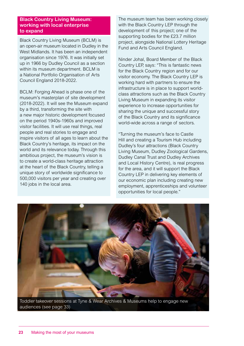#### **Black Country Living Museum: working with local enterprise to expand**

Black Country Living Museum (BCLM) is an open-air museum located in Dudley in the West Midlands. It has been an independent organisation since 1976. It was initially set up in 1966 by Dudley Council as a section within its museum department. BCLM is a National Portfolio Organisation of Arts Council England 2018-2022.

BCLM: Forging Ahead is phase one of the museum's masterplan of site development (2018-2022). It will see the Museum expand by a third, transforming the site with a new major historic development focused on the period 1940s-1960s and improved visitor facilities. It will use real things, real people and real stories to engage and inspire visitors of all ages to learn about the Black Country's heritage, its impact on the world and its relevance today. Through this ambitious project, the museum's vision is to create a world-class heritage attraction at the heart of the Black Country, telling a unique story of worldwide significance to 500,000 visitors per year and creating over 140 jobs in the local area.

The museum team has been working closely with the Black Country LEP through the development of this project; one of the supporting bodies for the £23.7 million project, alongside National Lottery Heritage Fund and Arts Council England.

Ninder Johal, Board Member of the Black Country LEP, says: "This is fantastic news for the Black Country region and for our visitor economy. The Black Country LEP is working hard with partners to ensure the infrastructure is in place to support worldclass attractions such as the Black Country Living Museum in expanding its visitor experience to increase opportunities for sharing the unique and successful story of the Black Country and its significance world-wide across a range of sectors.

"Turning the museum's face to Castle Hill and creating a Tourism Hub including Dudley's four attractions (Black Country Living Museum, Dudley Zoological Gardens, Dudley Canal Trust and Dudley Archives and Local History Centre), is real progress for the area, and it will support the Black Country LEP in delivering key elements of our economic plan including creating new employment, apprenticeships and volunteer opportunities for local people."



Toddler takeover sessions at Tyne & Wear Archives & Museums help to engage new audiences (see page 33)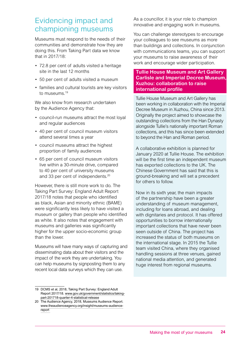### Evidencing impact and championing museums

Museums must respond to the needs of their communities and demonstrate how they are doing this. From Taking Part data we know that in 2017/18:

- 72.8 per cent of adults visited a heritage site in the last 12 months
- 50 per cent of adults visited a museum
- families and cultural tourists are key visitors to museums<sup>19</sup>

We also know from research undertaken by the Audience Agency that:

- council-run museums attract the most loyal and regular audiences
- 40 per cent of council museum visitors attend several times a year
- council museums attract the highest proportion of family audiences
- 65 per cent of council museum visitors live within a 30-minute drive, compared to 40 per cent of university museums and 33 per cent of independents.20

However, there is still more work to do. The Taking Part Survey: England Adult Report 2017/18 notes that people who identified as black, Asian and minority ethnic (BAME) were significantly less likely to have visited a museum or gallery than people who identified as white. It also notes that engagement with museums and galleries was significantly higher for the upper socio-economic group than the lower.

Museums will have many ways of capturing and disseminating data about their visitors and the impact of the work they are undertaking. You can help museums by signposting them to any recent local data surveys which they can use.

As a councillor, it is your role to champion innovative and engaging work in museums.

You can challenge stereotypes to encourage your colleagues to see museums as more than buildings and collections. In conjunction with communications teams, you can support your museums to raise awareness of their work and encourage wider participation.

#### **Tullie House Museum and Art Gallery Carlisle and Imperial Decree Museum, Xuzhou: collaboration to raise international profile**

Tullie House Museum and Art Gallery has been working in collaboration with the Imperial Decree Museum in Xuzhou, China since 2013. Originally the project aimed to showcase the outstanding collections from the Han Dynasty alongside Tullie's nationally important Roman collections, and this has since been extended to beyond the Han and Roman period.

A collaborative exhibition is planned for January 2020 at Tullie House. The exhibition will be the first time an independent museum has exported collections to the UK. The Chinese Government has said that this is ground-breaking and will set a precedent for others to follow.

Now in its sixth year, the main impacts of the partnership have been a greater understanding of museum management, including for loans abroad, and dealing with dignitaries and protocol. It has offered opportunities to borrow internationally important collections that have never been seen outside of China. The project has increased the status of both museums on the international stage. In 2015 the Tullie team visited China, where they organised handling sessions at three venues, gained national media attention, and generated huge interest from regional museums.

<sup>19</sup> DCMS et al, 2018, Taking Part Survey: England Adult Report 2017/18. www.gov.uk/government/statistics/takingpart-201718-quarter-4-statistical-release

<sup>20</sup> The Audience Agency, 2018, Museums Audience Report. [www.theaudienceagency.org/insight/museums-audience](https://www.theaudienceagency.org/insight/museums-audience-report)[report](https://www.theaudienceagency.org/insight/museums-audience-report)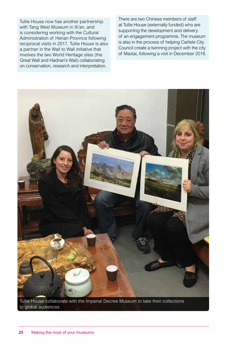Tullie House now has another partnership with Tang West Museum in Xi'an, and is considering working with the Cultural Administration of Henan Province following reciprocal visits in 2017. Tullie House is also a partner in the Wall to Wall initiative that involves the two World Heritage sites (the Great Wall and Hadrian's Wall) collaborating on conservation, research and interpretation.

There are two Chinese members of staff at Tullie House (externally funded) who are supporting the development and delivery of an engagement programme. The museum is also in the process of helping Carlisle City Council create a twinning project with the city of Maotai, following a visit in December 2018.



Tullie House collaborate with the Imperial Decree Museum to take their collections to global audiences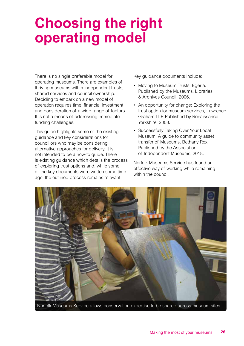## **Choosing the right operating model**

There is no single preferable model for operating museums. There are examples of thriving museums within independent trusts, shared services and council ownership. Deciding to embark on a new model of operation requires time, financial investment and consideration of a wide range of factors. It is not a means of addressing immediate funding challenges.

This guide highlights some of the existing guidance and key considerations for councillors who may be considering alternative approaches for delivery. It is not intended to be a how-to guide. There is existing guidance which details the process of exploring trust options and, while some of the key documents were written some time ago, the outlined process remains relevant.

Key guidance documents include:

- Moving to Museum Trusts, Egeria. Published by the Museums, Libraries & Archives Council, 2006.
- An opportunity for change: Exploring the trust option for museum services, Lawrence Graham LLP. Published by Renaissance Yorkshire, 2008.
- Successfully Taking Over Your Local Museum: A guide to community asset transfer of Museums, Bethany Rex. Published by the Association of Independent Museums, 2018.

Norfolk Museums Service has found an effective way of working while remaining within the council.



Norfolk Museums Service allows conservation expertise to be shared across museum sites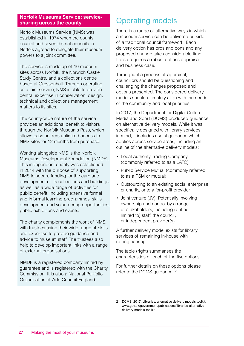#### **Norfolk Museums Service: servicesharing across the county**

Norfolk Museums Service (NMS) was established in 1974 when the county council and seven district councils in Norfolk agreed to delegate their museum powers to a joint committee.

The service is made up of 10 museum sites across Norfolk, the Norwich Castle Study Centre, and a collections centre based at Gressenhall. Through operating as a joint service, NMS is able to provide central expertise in conservation, design, technical and collections management matters to its sites.

The county-wide nature of the service provides an additional benefit to visitors through the Norfolk Museums Pass, which allows pass holders unlimited access to NMS sites for 12 months from purchase.

Working alongside NMS is the Norfolk Museums Development Foundation (NMDF). This independent charity was established in 2014 with the purpose of supporting NMS to secure funding for the care and development of its collections and buildings, as well as a wide range of activities for public benefit, including extensive formal and informal learning programmes, skills development and volunteering opportunities, public exhibitions and events.

The charity complements the work of NMS, with trustees using their wide range of skills and expertise to provide guidance and advice to museum staff. The trustees also help to develop important links with a range of external organisations.

NMDF is a registered company limited by guarantee and is registered with the Charity Commission. It is also a National Portfolio Organisation of Arts Council England.

## Operating models

There is a range of alternative ways in which a museum service can be delivered outside of a traditional council framework. Each delivery option has pros and cons and any proposed change takes considerable time. It also requires a robust options appraisal and business case.

Throughout a process of appraisal, councillors should be questioning and challenging the changes proposed and options presented. The considered delivery models should ultimately align with the needs of the community and local priorities.

In 2017, the Department for Digital Culture Media and Sport (DCMS) produced guidance on alternative delivery models. While it was specifically designed with library services in mind, it includes useful guidance which applies across service areas, including an outline of the alternative delivery models:

- Local Authority Trading Company (commonly referred to as a LATC)
- Public Service Mutual (commonly referred to as a PSM or mutual)
- Outsourcing to an existing social enterprise or charity, or to a for-profit provider
- Joint venture (JV). Potentially involving ownership and control by a range of stakeholders, including (but not limited to) staff, the council, or independent provider(s).

A further delivery model exists for library services of remaining in-house with re-engineering.

The table (right) summarises the characteristics of each of the five options.

For further details on these options please refer to the DCMS guidance. <sup>21</sup>

<sup>21</sup> DCMS, 2017, Libraries: alternative delivery models toolkit. www.gov.uk/government/publications/libraries-alternativedelivery-models-toolkit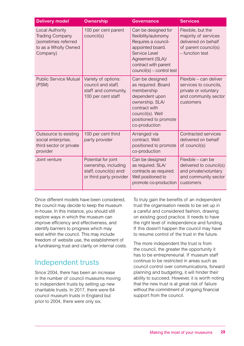| <b>Delivery model</b>                                                                                | <b>Ownership</b>                                                                                 | <b>Governance</b>                                                                                                                                                                 | <b>Services</b>                                                                                              |
|------------------------------------------------------------------------------------------------------|--------------------------------------------------------------------------------------------------|-----------------------------------------------------------------------------------------------------------------------------------------------------------------------------------|--------------------------------------------------------------------------------------------------------------|
| Local Authority<br><b>Trading Company</b><br>(sometimes referred<br>to as a Wholly Owned<br>Company) | 100 per cent parent<br>council(s)                                                                | Can be designed for<br>flexibility/autonomy.<br>Requires a council-<br>appointed board.<br>Service Level<br>Agreement (SLA)/<br>contract with parent<br>council(s) – control test | Flexible, but the<br>majority of services<br>delivered on behalf<br>of parent council(s)<br>- function test  |
| <b>Public Service Mutual</b><br>(PSM)                                                                | Variety of options:<br>council and staff,<br>staff and community,<br>100 per cent staff          | Can be designed<br>as required. Board<br>membership<br>dependent upon<br>ownership. SLA/<br>contract with<br>council(s). Well<br>positioned to promote<br>co-production           | Flexible - can deliver<br>services to councils,<br>private or voluntary<br>and community sector<br>customers |
| Outsource to existing<br>social enterprise,<br>third sector or private<br>provider                   | 100 per cent third<br>party provider                                                             | Arranged via<br>contract. Well<br>positioned to promote<br>co-production                                                                                                          | <b>Contracted services</b><br>delivered on behalf<br>of council(s)                                           |
| Joint venture                                                                                        | Potential for joint<br>ownership, including<br>staff, council(s) and/<br>or third party provider | Can be designed<br>as required. SLA/<br>contracts as required.<br>Well positioned to<br>promote co-production                                                                     | Flexible - can be<br>delivered to council(s)<br>and private/voluntary<br>and community sector<br>customers   |

Once different models have been considered, the council may decide to keep the museum in-house. In this instance, you should still explore ways in which the museum can improve efficiency and effectiveness, and identify barriers to progress which may exist within the council. This may include freedom of website use, the establishment of a fundraising trust and clarity on internal costs.

### Independent trusts

Since 2004, there has been an increase in the number of council museums moving to independent trusts by setting up new charitable trusts. In 2017, there were 64 council museum trusts in England but prior to 2004, there were only six.

To truly gain the benefits of an independent trust the organisation needs to be set up in a careful and considered fashion, drawing on existing good practice. It needs to have the right level of independence and funding. If this doesn't happen the council may have to resume control of the trust in the future.

The more independent the trust is from the council, the greater the opportunity it has to be entrepreneurial. If museum staff continue to be restricted in areas such as council control over communications, forward planning and budgeting, it will hinder their ability to succeed. However, it is worth noting that the new trust is at great risk of failure without the commitment of ongoing financial support from the council.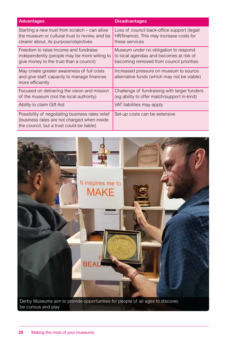| <b>Advantages</b>                                                                                                                            | <b>Disadvantages</b>                                                                                                         |
|----------------------------------------------------------------------------------------------------------------------------------------------|------------------------------------------------------------------------------------------------------------------------------|
| Starting a new trust from scratch – can allow<br>the museum or cultural trust to review, and be<br>clearer about, its purpose/objectives     | Loss of council back-office support (legal/<br>HR/finance). This may increase costs for<br>these services                    |
| Freedom to raise income and fundraise<br>independently (people may be more willing to<br>give money to the trust than a council)             | Museum under no obligation to respond<br>to local agendas and becomes at risk of<br>becoming removed from council priorities |
| May create greater awareness of full costs<br>and give staff capacity to manage finances<br>more efficiently                                 | Increased pressure on museum to source<br>alternative funds (which may not be viable)                                        |
| Focused on delivering the vision and mission<br>of the museum (not the local authority)                                                      | Challenge of fundraising with larger funders<br>(eg ability to offer match/support in-kind)                                  |
| Ability to claim Gift Aid                                                                                                                    | VAT liabilities may apply                                                                                                    |
| Possibility of negotiating business rates relief<br>(business rates are not charged when inside<br>the council, but a trust could be liable) | Set-up costs can be extensive                                                                                                |



Derby Museums aim to provide opportunities for people of all ages to discover, be curious and play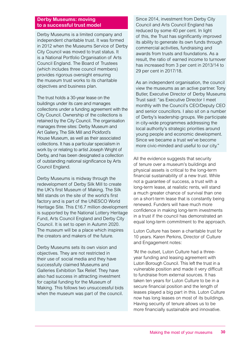#### **Derby Museums: moving to a successful trust model**

Derby Museums is a limited company and independent charitable trust. It was formed in 2012 when the Museums Service of Derby City Council was moved to trust status. It is a National Portfolio Organisation of Arts Council England. The Board of Trustees (which includes three council members) provides rigorous oversight ensuring the museum trust works to its charitable objectives and business plan.

The trust holds a 30-year lease on the buildings under its care and manages collections under a funding agreement with the City Council. Ownership of the collections is retained by the City Council. The organisation manages three sites: Derby Museum and Art Gallery, The Silk Mill and Pickford's House Museum, as well as their associated collections. It has a particular specialism in work by or relating to artist Joseph Wright of Derby, and has been designated a collection of outstanding national significance by Arts Council England.

Derby Museums is midway through the redevelopment of Derby Silk Mill to create the UK's first Museum of Making. The Silk Mill stands on the site of the world's first factory and is part of the UNESCO World Heritage Site. This £16.7 million development is supported by the National Lottery Heritage Fund, Arts Council England and Derby City Council. It is set to open in Autumn 2020. The museum will be a place which inspires the creators and makers of the future.

Derby Museums sets its own vision and objectives. They are not restricted in their use of social media and they have successfully claimed Museums and Galleries Exhibition Tax Relief. They have also had success in attracting investment for capital funding for the Museum of Making. This follows two unsuccessful bids when the museum was part of the council.

Since 2014, investment from Derby City Council and Arts Council England has reduced by some 40 per cent. In light of this, the Trust has significantly improved its ability to generate its own funds through commercial activities, fundraising and awards from trusts and foundations. As a result, the ratio of earned income to turnover has increased from 3 per cent in 2013/14 to 29 per cent in 2017/18.

As an independent organisation, the council view the museums as an active partner. Tony Butler, Executive Director of Derby Museums Trust said: "as Executive Director I meet monthly with the Council's CEO/Deputy CEO and senior councillors. I also sit on a number of Derby's leadership groups. We participate in city-wide programmes addressing the local authority's strategic priorities around young people and economic development. Since we became a trust we've become more civic-minded and useful to our city."

All the evidence suggests that security of tenure over a museum's buildings and physical assets is critical to the long-term financial sustainability of a new trust. While not a guarantee of success, a trust with a long-term lease, at realistic rents, will stand a much greater chance of survival than one on a short-term lease that is constantly being renewed. Funders will have much more confidence in making long-term investments in a trust if the council has demonstrated an equal long-term commitment to the approach.

Luton Culture has been a charitable trust for 10 years. Karen Perkins, Director of Culture and Engagement notes:

"At the outset, Luton Culture had a threeyear funding and leasing agreement with Luton Borough Council. This left the trust in a vulnerable position and made it very difficult to fundraise from external sources. It has taken ten years for Luton Culture to be in a secure financial position and the length of leases played a big part in this. Luton Culture now has long leases on most of its buildings. Having security of tenure allows us to be more financially sustainable and innovative.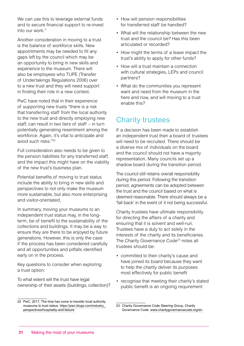We can use this to leverage external funds and to secure financial support to re-invest into our work."

Another consideration in moving to a trust is the balance of workforce skills. New appointments may be needed to fill any gaps left by the council which may be an opportunity to bring in new skills and experience to the museum. There will also be employees who TUPE (Transfer of Undertakings Regulations 2006) over to a new trust and they will need support in finding their role in a new context.

PwC have noted that in their experience of supporting new trusts "there is a risk that transferring staff from the local authority to the new trust and directly employing new staff, can result in two tiers of staff – in turn potentially generating resentment among the workforce. Again, it's vital to anticipate and avoid such risks."22

Full consideration also needs to be given to the pension liabilities for any transferred staff, and the impact this might have on the viability of the new trust's business plan.

Potential benefits of moving to trust status include the ability to bring in new skills and perspectives to not only make the museum more sustainable, but also more enterprising and visitor-orientated.

In summary, moving your museums to an independent trust status may, in the longterm, be of benefit to the sustainability of the collections and buildings. It may be a way to ensure they are there to be enjoyed by future generations. However, this is only the case if the process has been considered carefully and all opportunities and pitfalls identified early on in the process.

Key questions to consider when exploring a trust option:

To what extent will the trust have legal ownership of their assets (buildings, collection)?

- How will pension responsibilities for transferred staff be handled?
- What will the relationship between the new trust and the council be? Has this been articulated or recorded?
- How might the terms of a lease impact the trust's ability to apply for other funds?
- How will a trust maintain a connection with cultural strategies, LEPs and council partners?
- What do the communities you represent want and need from the museum in the here and now, and will moving to a trust enable this?

## Charity trustees

If a decision has been made to establish an independent trust then a board of trustees will need to be recruited. There should be a diverse mix of individuals on the board and the council should not have a majority representation. Many councils set up a shadow board during the transition period.

The council still retains overall responsibility during this period. Following the transition period, agreements can be adopted between the trust and the council based on what is deemed reasonable. There should always be a 'fall back' in the event of it not being successful.

Charity trustees have ultimate responsibility for directing the affairs of a charity and ensuring that it is solvent and well-run. Trustees have a duty to act solely in the interests of the charity and its beneficiaries. The Charity Governance Code<sup>23</sup> notes all trustees should be:

- committed to their charity's cause and have joined its board because they want to help the charity deliver its purposes most effectively for public benefit
- recognise that meeting their charity's stated public benefit is an ongoing requirement

<sup>22</sup> PwC, 2017, The time has come to transfer local authority museums to trust status. [https://pwc.blogs.com/industry\\_](https://pwc.blogs.com/industry_perspectives/hospitality-and-leisure) [perspectives/hospitality-and-leisure](https://pwc.blogs.com/industry_perspectives/hospitality-and-leisure)

<sup>23</sup> Charity Governance Code Steering Group, Charity Governance Code. [www.charitygovernancecode.org/en](https://www.charitygovernancecode.org/en)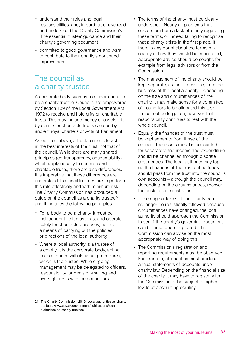- understand their roles and legal responsibilities, and, in particular, have read and understood the Charity Commission's 'The essential trustee' guidance and their charity's governing document
- commited to good governance and want to contribute to their charity's continued improvement.

### The council as a charity trustee

A corporate body such as a council can also be a charity trustee. Councils are empowered by Section 139 of the Local Government Act 1972 to receive and hold gifts on charitable trusts. This may include money or assets left by donors or charitable trusts created by ancient royal charters or Acts of Parliament.

As outlined above, a trustee needs to act in the best interests of the trust, not that of the council. While there are many shared principles (eg transparency, accountability) which apply equally to councils and charitable trusts, there are also differences. It is imperative that these differences are understood if council trustees are to perform this role effectively and with minimum risk. The Charity Commission has produced a guide on the council as a charity trustee $24$ and it includes the following principles:

- For a body to be a charity, it must be independent, ie it must exist and operate solely for charitable purposes, not as a means of carrying out the policies or directions of the local authority.
- Where a local authority is a trustee of a charity, it is the corporate body, acting in accordance with its usual procedures, which is the trustee. While ongoing management may be delegated to officers, responsibility for decision-making and oversight rests with the councillors.
- The terms of the charity must be clearly understood. Nearly all problems that occur stem from a lack of clarity regarding these terms, or indeed failing to recognise that a charity exists in the first place. If there is any doubt about the terms of a charity or how they should be interpreted, appropriate advice should be sought, for example from legal advisors or from the Commission.
- The management of the charity should be kept separate, as far as possible, from the business of the local authority. Depending on the size and circumstances of the charity, it may make sense for a committee of councillors to be allocated this task. It must not be forgotten, however, that responsibility continues to rest with the whole council.
- Equally, the finances of the trust must be kept separate from those of the council. The assets must be accounted for separately and income and expenditure should be channelled through discrete cost centres. The local authority may top up the finances of the trust but no funds should pass from the trust into the council's own accounts – although the council may, depending on the circumstances, recover the costs of administration.
- If the original terms of the charity can no longer be realistically followed because circumstances have changed, the local authority should approach the Commission to see if the charity's governing document can be amended or updated. The Commission can advise on the most appropriate way of doing this.
- The Commission's registration and reporting requirements must be observed. For example, all charities must produce annual statements of accounts under charity law. Depending on the financial size of the charity, it may have to register with the Commission or be subject to higher levels of accounting scrutiny.

<sup>24</sup> The Charity Commission, 2013, Local authorities as charity trustees. [www.gov.uk/government/publications/local](https://www.gov.uk/government/publications/local-authorities-as-charity-trustees)[authorities-as-charity-trustees](https://www.gov.uk/government/publications/local-authorities-as-charity-trustees)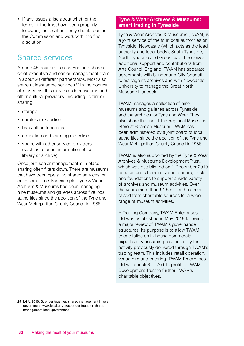• If any issues arise about whether the terms of the trust have been properly followed, the local authority should contact the Commission and work with it to find a solution.

## Shared services

Around 45 councils across England share a chief executive and senior management team in about 20 different partnerships. Most also share at least some services.<sup>25</sup> In the context of museums, this may include museums and other cultural providers (including libraries) sharing:

- storage
- curatorial expertise
- back-office functions
- education and learning expertise
- space with other service providers (such as a tourist information office, library or archive).

Once joint senior management is in place, sharing often filters down. There are museums that have been operating shared services for quite some time. For example, Tyne & Wear Archives & Museums has been managing nine museums and galleries across five local authorities since the abolition of the Tyne and Wear Metropolitan County Council in 1986.

#### **Tyne & Wear Archives & Museums: smart trading in Tyneside**

Tyne & Wear Archives & Museums (TWAM) is a joint service of the four local authorities on Tyneside: Newcastle (which acts as the lead authority and legal body), South Tyneside, North Tyneside and Gateshead. It receives additional support and contributions from Arts Council England. TWAM has separate agreements with Sunderland City Council to manage its archives and with Newcastle University to manage the Great North Museum: Hancock.

TWAM manages a collection of nine museums and galleries across Tyneside and the archives for Tyne and Wear. They also share the use of the Regional Museums Store at Beamish Museum. TWAM has been administered by a joint board of local authorities since the abolition of the Tyne and Wear Metropolitan County Council in 1986.

TWAM is also supported by the Tyne & Wear Archives & Museums Development Trust, which was established on 1 December 2010 to raise funds from individual donors, trusts and foundations to support a wide variety of archives and museum activities. Over the years more than £1.5 million has been raised from charitable sources for a wide range of museum activities.

A Trading Company, TWAM Enterprises Ltd was established in May 2018 following a major review of TWAM's governance structures. Its purpose is to allow TWAM to capitalise on in-house commercial expertise by assuming responsibility for activity previously delivered through TWAM's trading team. This includes retail operation, venue hire and catering. TWAM Enterprises Ltd will donate/Gift Aid its profit to TWAM Development Trust to further TWAM's charitable objectives.

<sup>25</sup> LGA, 2016, Stronger together: shared management in local government. [www.local.gov.uk/stronger-together-shared](https://www.local.gov.uk/stronger-together-shared-management-local-government)[management-local-government](https://www.local.gov.uk/stronger-together-shared-management-local-government)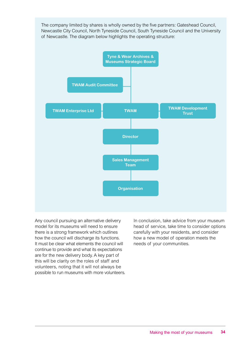The company limited by shares is wholly owned by the five partners: Gateshead Council, Newcastle City Council, North Tyneside Council, South Tyneside Council and the University of Newcastle. The diagram below highlights the operating structure:



Any council pursuing an alternative delivery model for its museums will need to ensure there is a strong framework which outlines how the council will discharge its functions. It must be clear what elements the council will continue to provide and what its expectations are for the new delivery body. A key part of this will be clarity on the roles of staff and volunteers, noting that it will not always be possible to run museums with more volunteers. In conclusion, take advice from your museum head of service, take time to consider options carefully with your residents, and consider how a new model of operation meets the needs of your communities.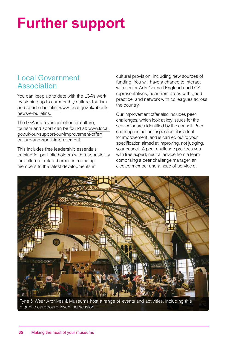# **Further support**

## Local Government Association

You can keep up to date with the LGA's work by signing up to our monthly culture, tourism and sport e-bulletin: [www.local.gov.uk/about/](http://www.local.gov.uk/about/news/e-bulletins) [news/e-bulletins](http://www.local.gov.uk/about/news/e-bulletins).

The LGA improvement offer for culture, tourism and sport can be found at: [www.local.](http://www.local.gov.uk/our-support/our-improvement-offer/culture-and-sport-improvement) [gov.uk/our-support/our-improvement-offer/](http://www.local.gov.uk/our-support/our-improvement-offer/culture-and-sport-improvement) [culture-and-sport-improvement](http://www.local.gov.uk/our-support/our-improvement-offer/culture-and-sport-improvement)

This includes free leadership essentials training for portfolio holders with responsibility for culture or related areas introducing members to the latest developments in

cultural provision, including new sources of funding. You will have a chance to interact with senior Arts Council England and LGA representatives, hear from areas with good practice, and network with colleagues across the country.

Our improvement offer also includes peer challenges, which look at key issues for the service or area identified by the council. Peer challenge is not an inspection, it is a tool for improvement, and is carried out to your specification aimed at improving, not judging, your council. A peer challenge provides you with free expert, neutral advice from a team comprising a peer challenge manager, an elected member and a head of service or



Tyne & Wear Archives & Museums host a range of events and activities, including this gigantic cardboard inventing session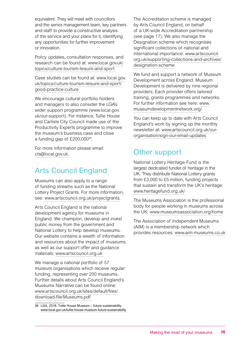equivalent. They will meet with councillors and the senior management team, key partners and staff to provide a constructive analysis of the service and your plans for it, identifying any opportunities for further improvement or innovation.

Policy updates, consultation responses, and research can be found at: [www.local.gov.uk/](http://www.local.gov.uk/topics/culture-tourism-leisure-and-sport) [topics/culture-tourism-leisure-and-sport](http://www.local.gov.uk/topics/culture-tourism-leisure-and-sport)

Case studies can be found at: [www.local.gov.](http://www.local.gov.uk/topics/culture-tourism-leisure-and-sport/good-practice-culture) [uk/topics/culture-tourism-leisure-and-sport/](http://www.local.gov.uk/topics/culture-tourism-leisure-and-sport/good-practice-culture) [good-practice-culture](http://www.local.gov.uk/topics/culture-tourism-leisure-and-sport/good-practice-culture)

We encourage cultural portfolio holders and managers to also consider the LGA's wider support programme ([www.local.gov.](http://www.local.gov.uk/our-support) [uk/our-support](http://www.local.gov.uk/our-support)). For instance, Tullie House and Carlisle City Council made use of the Productivity Experts programme to improve the museum's business case and close a funding gap of £200,00026.

For more information please email: [cts@local.gov.uk.](mailto:cts@local.gov.uk)

## Arts Council England

Museums can also apply to a range of funding streams such as the National Lottery Project Grants. For more information, see: [www.artscouncil.org.uk/projectgrants](http://www.artscouncil.org.uk/projectgrants).

Arts Council England is the national development agency for museums in England. We champion, develop and invest public money from the government and National Lottery to help develop museums. Our website contains a wealth of information and resources about the impact of museums, as well as our support offer and guidance materials: [www.artscouncil.org.uk](http://www.artscouncil.org.uk) 

We manage a national portfolio of 57 museum organisations which receive regular funding, representing over 200 museums. Further details about Arts Council England's Museums Narrative can be found online: [www.artscouncil.org.uk/sites/default/files/](http://www.artscouncil.org.uk/sites/default/files/download-file/Museums.pdf) [download-file/Museums.pdf](http://www.artscouncil.org.uk/sites/default/files/download-file/Museums.pdf)

The Accreditation scheme is managed by Arts Council England, on behalf of a UK-wide Accreditation partnership (see page 17). We also manage the Designation scheme which recognises significant collections of national and international importance: [www.artscouncil.](http://www.artscouncil.org.uk/supporting-collections-and-archives/designation-scheme) [org.uk/supporting-collections-and-archives/](http://www.artscouncil.org.uk/supporting-collections-and-archives/designation-scheme) [designation-scheme](http://www.artscouncil.org.uk/supporting-collections-and-archives/designation-scheme)

We fund and support a network of Museum Development across England. Museum Development is delivered by nine regional providers. Each provider offers tailored training, grants programmes and networks. For further information see here: [www.](http://www.museumdevelopmentnetwork.org/) [museumdevelopmentnetwork.org/](http://www.museumdevelopmentnetwork.org/)

You can keep up to date with Arts Council England's work by signing up the monthly newsletter at: [www.artscouncil.org.uk/our](http://www.artscouncil.org.uk/our-organisation/sign-our-email-updates)[organisation/sign-our-email-updates](http://www.artscouncil.org.uk/our-organisation/sign-our-email-updates)

## Other support

National Lottery Heritage Fund is the largest dedicated funder of heritage in the UK. They distribute National Lottery grants from £3,000 to £5 million, funding projects that sustain and transform the UK's heritage: www.heritagefund.org.uk/

The Museums Association is the professional body for people working in museums across the UK: [www.museumsassociation.org/home](https://www.museumsassociation.org/home)

The Association of Independent Museums (AIM) is a membership network which provides resources: [www.aim-museums.co.uk](http://www.aim-museums.co.uk)

<sup>26</sup> LGA, 2018, Tullie House Museum – future sustainability. [www.local.gov.uk/tullie-house-museum-future-sustainability](https://www.local.gov.uk/tullie-house-museum-future-sustainability)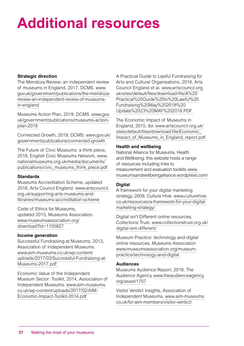# **Additional resources**

#### **Strategic direction**

The Mendoza Review: an independent review of museums in England, 2017, DCMS. [www.](https://www.gov.uk/government/publications/the-mendoza-review-an-independent-review-of-museums-in-england) [gov.uk/government/publications/the-mendoza](https://www.gov.uk/government/publications/the-mendoza-review-an-independent-review-of-museums-in-england)[review-an-independent-review-of-museums](https://www.gov.uk/government/publications/the-mendoza-review-an-independent-review-of-museums-in-england)[in-england](https://www.gov.uk/government/publications/the-mendoza-review-an-independent-review-of-museums-in-england)

Museums Action Plan, 2019, DCMS. [www.gov.](https://www.gov.uk/government/publications/museums-action-plan-2018) [uk/government/publications/museums-action](https://www.gov.uk/government/publications/museums-action-plan-2018)[plan-2018](https://www.gov.uk/government/publications/museums-action-plan-2018)

Connected Growth, 2019, DCMS. [www.gov.uk/](https://www.gov.uk/government/publications/connected-growth) [government/publications/connected-growth](https://www.gov.uk/government/publications/connected-growth) 

The Future of Civic Museums: a think piece, 2018, English Civic Museums Network. [www.](https://www.nationalmuseums.org.uk/media/documents/publications/civic_museums_think_piece.pdf) [nationalmuseums.org.uk/media/documents/](https://www.nationalmuseums.org.uk/media/documents/publications/civic_museums_think_piece.pdf) [publications/civic\\_museums\\_think\\_piece.pdf](https://www.nationalmuseums.org.uk/media/documents/publications/civic_museums_think_piece.pdf)

#### **Standards**

Museums Accreditation Scheme, updated 2018, Arts Council England. [www.artscouncil.](https://www.artscouncil.org.uk/supporting-arts-museums-and-libraries/museums-accreditation-scheme) [org.uk/supporting-arts-museums-and](https://www.artscouncil.org.uk/supporting-arts-museums-and-libraries/museums-accreditation-scheme)[libraries/museums-accreditation-scheme](https://www.artscouncil.org.uk/supporting-arts-museums-and-libraries/museums-accreditation-scheme) 

Code of Ethics for Museums, updated 2015, Museums Association. [www.museumsassociation.org/](https://www.museumsassociation.org/download?id=1155827) [download?id=1155827](https://www.museumsassociation.org/download?id=1155827) 

#### **Income generation**

Successful Fundraising at Museums, 2013, Association of Independent Museums. [www.aim-museums.co.uk/wp-content/](https://www.aim-museums.co.uk/wp-content/uploads/2017/03/Successful-Fundraising-at-Museums-2017.pdf) [uploads/2017/03/Successful-Fundraising-at-](https://www.aim-museums.co.uk/wp-content/uploads/2017/03/Successful-Fundraising-at-Museums-2017.pdf)[Museums-2017.pdf](https://www.aim-museums.co.uk/wp-content/uploads/2017/03/Successful-Fundraising-at-Museums-2017.pdf)

Economic Value of the Independent Museum Sector: Toolkit, 2014, Association of Independent Museums. [www.aim-museums.](http://www.aim-museums.co.uk/wp-content/uploads/2017/02/AIM-Economic-Impact-Toolkit-2014.pdf) [co.uk/wp-content/uploads/2017/02/AIM-](http://www.aim-museums.co.uk/wp-content/uploads/2017/02/AIM-Economic-Impact-Toolkit-2014.pdf)[Economic-Impact-Toolkit-2014.pdf](http://www.aim-museums.co.uk/wp-content/uploads/2017/02/AIM-Economic-Impact-Toolkit-2014.pdf)

A Practical Guide to Lawful Fundraising for Arts and Cultural Organisations, 2018, Arts Council England et al. [www.artscouncil.org.](http://www.artscouncil.org.uk/sites/default/files/download-file/A%20Practical%20Guide%20to%20Lawful%20Fundraising%20May%202018%20Update%2023%20MAY%202018.PDF) [uk/sites/default/files/download-file/A%20](http://www.artscouncil.org.uk/sites/default/files/download-file/A%20Practical%20Guide%20to%20Lawful%20Fundraising%20May%202018%20Update%2023%20MAY%202018.PDF) [Practical%20Guide%20to%20Lawful%20](http://www.artscouncil.org.uk/sites/default/files/download-file/A%20Practical%20Guide%20to%20Lawful%20Fundraising%20May%202018%20Update%2023%20MAY%202018.PDF) [Fundraising%20May%202018%20](http://www.artscouncil.org.uk/sites/default/files/download-file/A%20Practical%20Guide%20to%20Lawful%20Fundraising%20May%202018%20Update%2023%20MAY%202018.PDF) [Update%2023%20MAY%202018.PDF](http://www.artscouncil.org.uk/sites/default/files/download-file/A%20Practical%20Guide%20to%20Lawful%20Fundraising%20May%202018%20Update%2023%20MAY%202018.PDF)

The Economic Impact of Museums in England, 2015, tbr. [www.artscouncil.org.uk/](http://www.artscouncil.org.uk/sites/default/files/download-file/Economic_Impact_of_Museums_in_England_report.pdf) [sites/default/files/download-file/Economic\\_](http://www.artscouncil.org.uk/sites/default/files/download-file/Economic_Impact_of_Museums_in_England_report.pdf) Impact of Museums in England report.pdf

#### **Health and wellbeing**

National Alliance for Museums, Health and Wellbeing: this website hosts a range of resources including links to measurement and evaluation toolkits [www.](http://www.museumsandwellbeingalliance.wordpress.com/) [museumsandwellbeingalliance.wordpress.com/](http://www.museumsandwellbeingalliance.wordpress.com/) 

#### **Digital**

A framework for your digital marketing strategy, 2009, Culture Hive. [www.culturehive.](http://www.culturehive.co.uk/resources/a-framework-for-your-digital-marketing-strategy/) [co.uk/resources/a-framework-for-your-digital](http://www.culturehive.co.uk/resources/a-framework-for-your-digital-marketing-strategy/)[marketing-strategy/](http://www.culturehive.co.uk/resources/a-framework-for-your-digital-marketing-strategy/) 

Digital isn't Different online resources, Collections Trust. [www.collectionstrust.org.uk/](http://www.collectionstrust.org.uk/digital-isnt-different/) [digital-isnt-different/](http://www.collectionstrust.org.uk/digital-isnt-different/) 

Museum Practice: technology and digital online resources, Museums Association [www.museumsassociation.org/museum](http://www.museumsassociation.org/museum-practice/technology-and-digital)[practice/technology-and-digital](http://www.museumsassociation.org/museum-practice/technology-and-digital)

#### **Audiences**

Museums Audience Report, 2018, The Audience Agency [www.theaudienceagency.](http://www.theaudienceagency.org/asset/1707) [org/asset/1707](http://www.theaudienceagency.org/asset/1707) 

Visitor Verdict insights, Association of Independent Museums. [www.aim-museums.](http://www.aim-museums.co.uk/for-aim-members/visitor-verdict/) [co.uk/for-aim-members/visitor-verdict/](http://www.aim-museums.co.uk/for-aim-members/visitor-verdict/)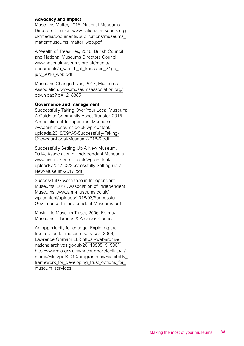#### **Advocacy and impact**

Museums Matter, 2015, National Museums Directors Council. [www.nationalmuseums.org.](http://www.nationalmuseums.org.uk/media/documents/publications/museums_matter/museums_matter_web.pdf) [uk/media/documents/publications/museums\\_](http://www.nationalmuseums.org.uk/media/documents/publications/museums_matter/museums_matter_web.pdf) [matter/museums\\_matter\\_web.pdf](http://www.nationalmuseums.org.uk/media/documents/publications/museums_matter/museums_matter_web.pdf)

A Wealth of Treasures, 2016, British Council and National Museums Directors Council. [www.nationalmuseums.org.uk/media/](http://www.nationalmuseums.org.uk/media/documents/a_wealth_of_treasures_24pp_july_2016_web.pdf) [documents/a\\_wealth\\_of\\_treasures\\_24pp\\_](http://www.nationalmuseums.org.uk/media/documents/a_wealth_of_treasures_24pp_july_2016_web.pdf) july\_2016\_web.pdf

Museums Change Lives, 2017, Museums Association. [www.museumsassociation.org/](http://www.museumsassociation.org/download?id=1218885) [download?id=1218885](http://www.museumsassociation.org/download?id=1218885)

#### **Governance and management**

Successfully Taking Over Your Local Museum: A Guide to Community Asset Transfer, 2018, Association of Independent Museums. [www.aim-museums.co.uk/wp-content/](http://www.aim-museums.co.uk/wp-content/uploads/2018/09/V-5-Successfully-Taking-Over-Your-Local-Museum-2018-6.pdf) [uploads/2018/09/V-5-Successfully-Taking-](http://www.aim-museums.co.uk/wp-content/uploads/2018/09/V-5-Successfully-Taking-Over-Your-Local-Museum-2018-6.pdf)[Over-Your-Local-Museum-2018-6.pdf](http://www.aim-museums.co.uk/wp-content/uploads/2018/09/V-5-Successfully-Taking-Over-Your-Local-Museum-2018-6.pdf)

Successfully Setting Up A New Museum, 2014, Association of Independent Museums. [www.aim-museums.co.uk/wp-content/](https://www.aim-museums.co.uk/wp-content/uploads/2017/03/Successfully-Setting-up-a-New-Museum-2017.pdf) [uploads/2017/03/Successfully-Setting-up-a-](https://www.aim-museums.co.uk/wp-content/uploads/2017/03/Successfully-Setting-up-a-New-Museum-2017.pdf)[New-Museum-2017.pdf](https://www.aim-museums.co.uk/wp-content/uploads/2017/03/Successfully-Setting-up-a-New-Museum-2017.pdf) 

Successful Governance in Independent Museums, 2018, Association of Independent Museums. [www.aim-museums.co.uk/](http://www.aim-museums.co.uk/wp-content/uploads/2018/03/Successful-Governance-In-Independent-Museums.pdf) [wp-content/uploads/2018/03/Successful-](http://www.aim-museums.co.uk/wp-content/uploads/2018/03/Successful-Governance-In-Independent-Museums.pdf)[Governance-In-Independent-Museums.pdf](http://www.aim-museums.co.uk/wp-content/uploads/2018/03/Successful-Governance-In-Independent-Museums.pdf) 

Moving to Museum Trusts, 2006, Egeria/ Museums, Libraries & Archives Council.

An opportunity for change: Exploring the trust option for museum services, 2008, Lawrence Graham LLP. [https://webarchive.](https://webarchive.nationalarchives.gov.uk/20110805151500/http:/www.mla.gov.uk/what/support/toolkits/~/media/Files/pdf/2010/programmes/Feasibility_framework_for_developing_trust_options_for_museum_services) [nationalarchives.gov.uk/20110805151500/](https://webarchive.nationalarchives.gov.uk/20110805151500/http:/www.mla.gov.uk/what/support/toolkits/~/media/Files/pdf/2010/programmes/Feasibility_framework_for_developing_trust_options_for_museum_services) [http:/www.mla.gov.uk/what/support/toolkits/~/](https://webarchive.nationalarchives.gov.uk/20110805151500/http:/www.mla.gov.uk/what/support/toolkits/~/media/Files/pdf/2010/programmes/Feasibility_framework_for_developing_trust_options_for_museum_services) [media/Files/pdf/2010/programmes/Feasibility\\_](https://webarchive.nationalarchives.gov.uk/20110805151500/http:/www.mla.gov.uk/what/support/toolkits/~/media/Files/pdf/2010/programmes/Feasibility_framework_for_developing_trust_options_for_museum_services) [framework\\_for\\_developing\\_trust\\_options\\_for\\_](https://webarchive.nationalarchives.gov.uk/20110805151500/http:/www.mla.gov.uk/what/support/toolkits/~/media/Files/pdf/2010/programmes/Feasibility_framework_for_developing_trust_options_for_museum_services) museum services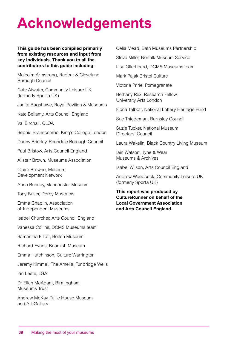# **Acknowledgements**

#### **This guide has been compiled primarily from existing resources and input from key individuals. Thank you to all the contributors to this guide including:**

Malcolm Armstrong, Redcar & Cleveland Borough Council

Cate Atwater, Community Leisure UK (formerly Sporta UK)

Janita Bagshawe, Royal Pavilion & Museums

Kate Bellamy, Arts Council England

Val Birchall, CLOA

Sophie Branscombe, King's College London

Danny Brierley, Rochdale Borough Council

Paul Bristow, Arts Council England

Alistair Brown, Museums Association

Claire Browne, Museum Development Network

Anna Bunney, Manchester Museum

Tony Butler, Derby Museums

Emma Chaplin, Association of Independent Museums

Isabel Churcher, Arts Council England

Vanessa Collins, DCMS Museums team

Samantha Elliott, Bolton Museum

Richard Evans, Beamish Museum

Emma Hutchinson, Culture Warrington

Jeremy Kimmel, The Amelia, Tunbridge Wells

Ian Leete, LGA

Dr Ellen McAdam, Birmingham Museums Trust

Andrew McKay, Tullie House Museum and Art Gallery

Celia Mead, Bath Museums Partnership

Steve Miller, Norfolk Museum Service

Lisa Ollerheard, DCMS Museums team

Mark Pajak Bristol Culture

Victoria Pririe, Pomegranate

Bethany Rex, Research Fellow, University Arts London

Fiona Talbott, National Lottery Heritage Fund

Sue Thiedeman, Barnsley Council

Suzie Tucker, National Museum Directors' Council

Laura Wakelin, Black Country Living Museum

Iain Watson, Tyne & Wear Museums & Archives

Isabel Wilson, Arts Council England

Andrew Woodcock, Community Leisure UK (formerly Sporta UK)

**This report was produced by CultureRunner on behalf of the Local Government Association and Arts Council England.**